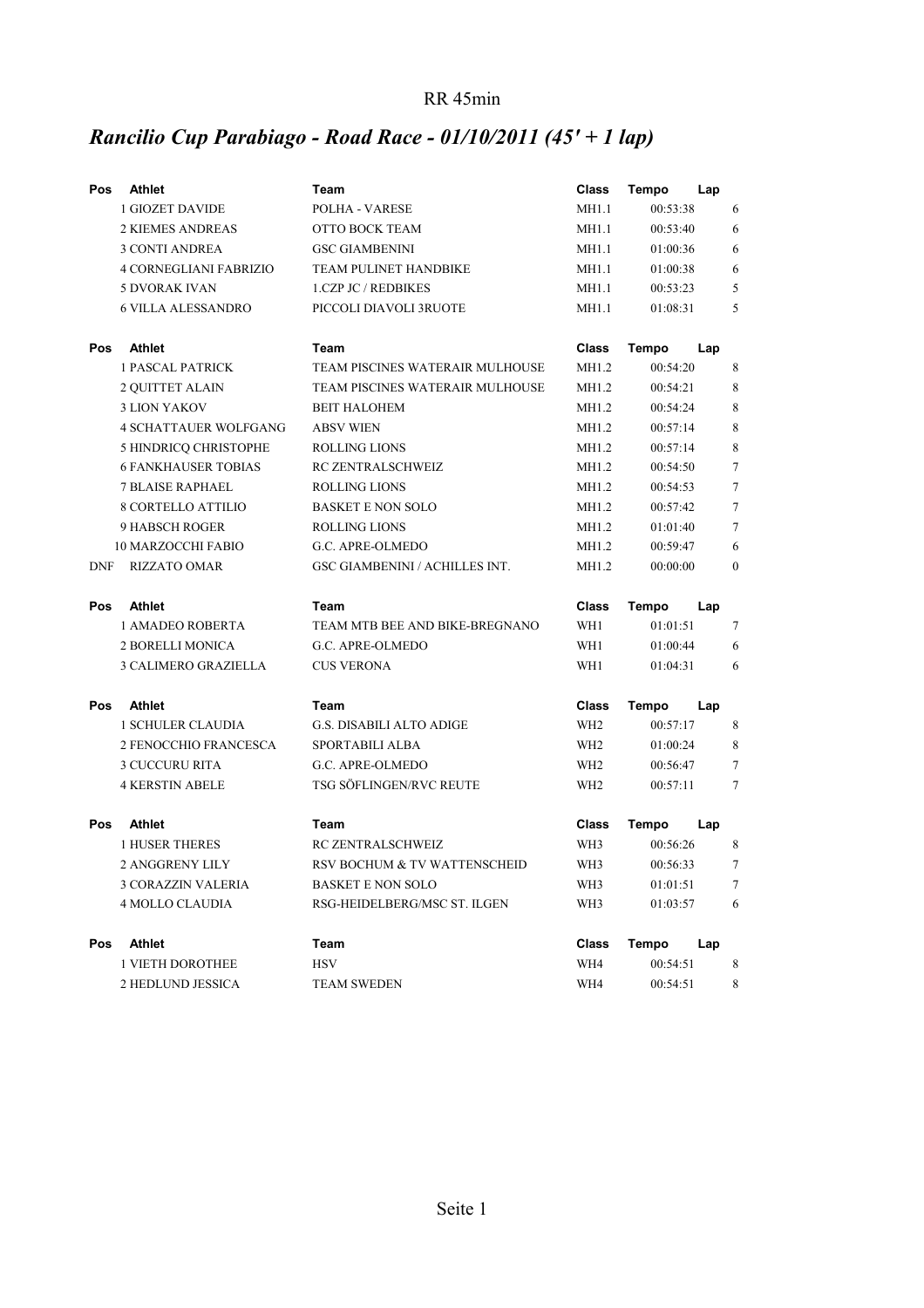### RR 45min

# *Rancilio Cup Parabiago - Road Race - 01/10/2011 (45' + 1 lap)*

| Pos        | <b>Athlet</b>                 | Team                                  | <b>Class</b>    | <b>Tempo</b><br>Lap |                |
|------------|-------------------------------|---------------------------------------|-----------------|---------------------|----------------|
|            | <b>1 GIOZET DAVIDE</b>        | POLHA - VARESE                        | MH1.1           | 00:53:38            | 6              |
|            | <b>2 KIEMES ANDREAS</b>       | OTTO BOCK TEAM                        | MH1.1           | 00:53:40            | 6              |
|            | <b>3 CONTI ANDREA</b>         | <b>GSC GIAMBENINI</b>                 | MH1.1           | 01:00:36            | 6              |
|            | <b>4 CORNEGLIANI FABRIZIO</b> | TEAM PULINET HANDBIKE                 | MH1.1           | 01:00:38            | 6              |
|            | <b>5 DVORAK IVAN</b>          | <b>1.CZP JC / REDBIKES</b>            | MH1.1           | 00:53:23            | 5              |
|            | <b>6 VILLA ALESSANDRO</b>     | PICCOLI DIAVOLI 3RUOTE                | MH1.1           | 01:08:31            | 5              |
| <b>Pos</b> | Athlet                        | Team                                  | <b>Class</b>    | Tempo<br>Lap        |                |
|            | <b>1 PASCAL PATRICK</b>       | TEAM PISCINES WATERAIR MULHOUSE       | MH1.2           | 00:54:20            | 8              |
|            | 2 QUITTET ALAIN               | TEAM PISCINES WATERAIR MULHOUSE       | MH1.2           | 00:54:21            | 8              |
|            | <b>3 LION YAKOV</b>           | <b>BEIT HALOHEM</b>                   | MH1.2           | 00:54:24            | 8              |
|            | <b>4 SCHATTAUER WOLFGANG</b>  | <b>ABSV WIEN</b>                      | MH1.2           | 00:57:14            | 8              |
|            | 5 HINDRICQ CHRISTOPHE         | <b>ROLLING LIONS</b>                  | MH1.2           | 00:57:14            | 8              |
|            | <b>6 FANKHAUSER TOBIAS</b>    | RC ZENTRALSCHWEIZ                     | MH1.2           | 00:54:50            | $\overline{7}$ |
|            | <b>7 BLAISE RAPHAEL</b>       | <b>ROLLING LIONS</b>                  | MH1.2           | 00:54:53            | $\tau$         |
|            | <b>8 CORTELLO ATTILIO</b>     | <b>BASKET E NON SOLO</b>              | MH1.2           | 00:57:42            | $\tau$         |
|            | <b>9 HABSCH ROGER</b>         | <b>ROLLING LIONS</b>                  | MH1.2           | 01:01:40            | $\tau$         |
|            | <b>10 MARZOCCHI FABIO</b>     | G.C. APRE-OLMEDO                      | MH1.2           | 00:59:47            | 6              |
| <b>DNF</b> | <b>RIZZATO OMAR</b>           | <b>GSC GIAMBENINI / ACHILLES INT.</b> | MH1.2           | 00:00:00            | $\mathbf{0}$   |
|            |                               |                                       |                 |                     |                |
| <b>Pos</b> | <b>Athlet</b>                 | Team                                  | Class           | <b>Tempo</b><br>Lap |                |
|            | 1 AMADEO ROBERTA              | TEAM MTB BEE AND BIKE-BREGNANO        | WH1             | 01:01:51            | $\tau$         |
|            | 2 BORELLI MONICA              | G.C. APRE-OLMEDO                      | WH1             | 01:00:44            | 6              |
|            | 3 CALIMERO GRAZIELLA          | <b>CUS VERONA</b>                     | WH1             | 01:04:31            | 6              |
| Pos        | <b>Athlet</b>                 | Team                                  | Class           | Tempo<br>Lap        |                |
|            | <b>1 SCHULER CLAUDIA</b>      | <b>G.S. DISABILI ALTO ADIGE</b>       | WH <sub>2</sub> | 00:57:17            | 8              |
|            | 2 FENOCCHIO FRANCESCA         | SPORTABILI ALBA                       | WH <sub>2</sub> | 01:00:24            | 8              |
|            | <b>3 CUCCURU RITA</b>         | G.C. APRE-OLMEDO                      | WH <sub>2</sub> | 00:56:47            | 7              |
|            | <b>4 KERSTIN ABELE</b>        | TSG SÖFLINGEN/RVC REUTE               | WH <sub>2</sub> | 00:57:11            | 7              |
| Pos        | <b>Athlet</b>                 | Team                                  | Class           | <b>Tempo</b><br>Lap |                |
|            | <b>1 HUSER THERES</b>         | RC ZENTRALSCHWEIZ                     | WH3             | 00:56:26            | 8              |
|            | <b>2 ANGGRENY LILY</b>        | RSV BOCHUM & TV WATTENSCHEID          | WH3             | 00:56:33            | $\overline{7}$ |
|            | 3 CORAZZIN VALERIA            | <b>BASKET E NON SOLO</b>              | WH3             | 01:01:51            | $\tau$         |
|            | <b>4 MOLLO CLAUDIA</b>        | RSG-HEIDELBERG/MSC ST. ILGEN          | WH3             | 01:03:57            | 6              |
| Pos        | <b>Athlet</b>                 | Team                                  | <b>Class</b>    | <b>Tempo</b><br>Lap |                |
|            | 1 VIETH DOROTHEE              | <b>HSV</b>                            | WH4             | 00:54:51            | 8              |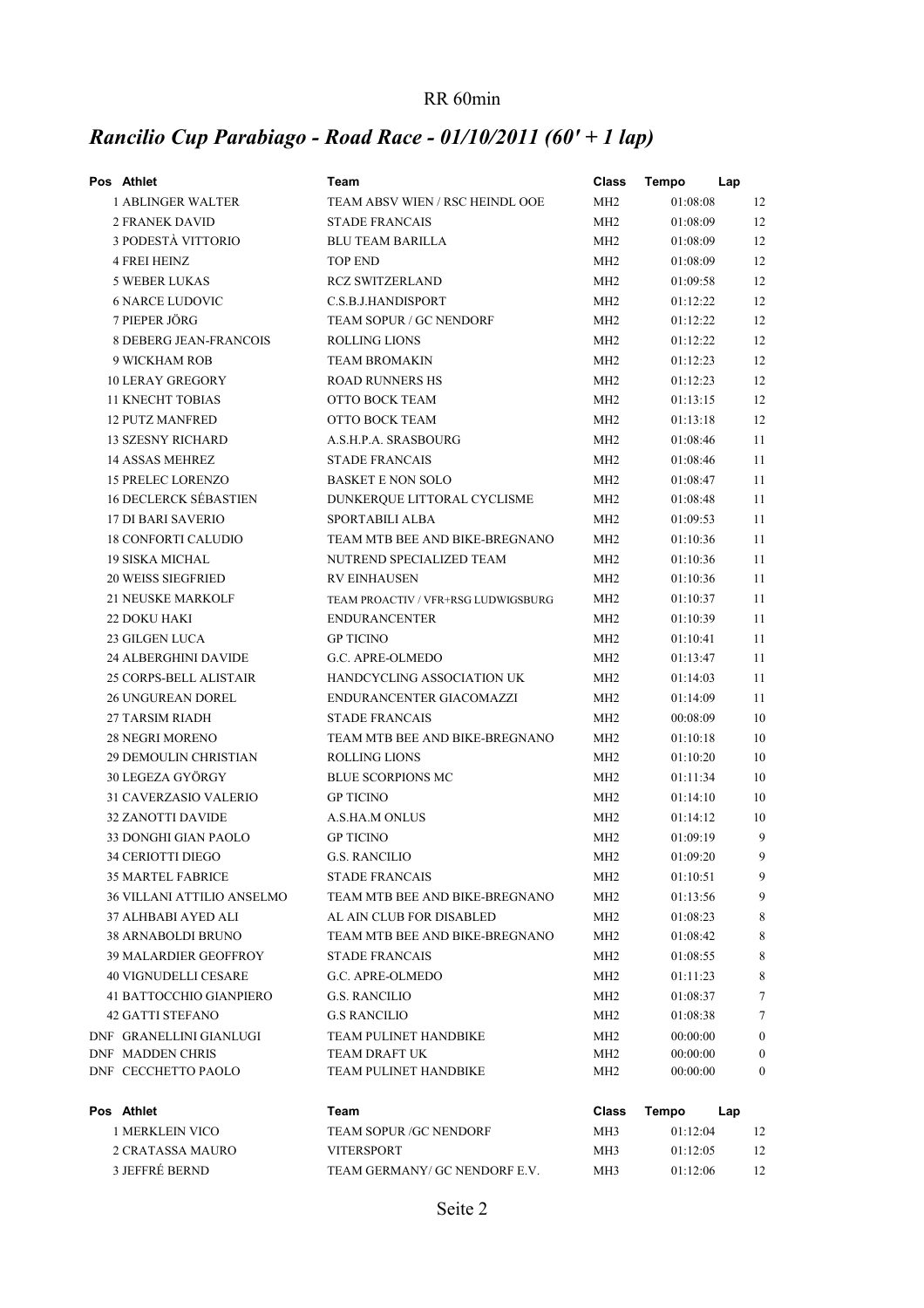### RR 60min

# *Rancilio Cup Parabiago - Road Race - 01/10/2011 (60' + 1 lap)*

| Pos Athlet                        | Team                                | Class           | <b>Tempo</b><br>Lap |                  |
|-----------------------------------|-------------------------------------|-----------------|---------------------|------------------|
| 1 ABLINGER WALTER                 | TEAM ABSV WIEN / RSC HEINDL OOE     | MH <sub>2</sub> | 01:08:08            | 12               |
| <b>2 FRANEK DAVID</b>             | <b>STADE FRANCAIS</b>               | MH <sub>2</sub> | 01:08:09            | 12               |
| 3 PODESTÀ VITTORIO                | <b>BLU TEAM BARILLA</b>             | MH <sub>2</sub> | 01:08:09            | 12               |
| 4 FREI HEINZ                      | <b>TOP END</b>                      | MH <sub>2</sub> | 01:08:09            | 12               |
| <b>5 WEBER LUKAS</b>              | <b>RCZ SWITZERLAND</b>              | MH <sub>2</sub> | 01:09:58            | 12               |
| <b>6 NARCE LUDOVIC</b>            | C.S.B.J.HANDISPORT                  | MH <sub>2</sub> | 01:12:22            | 12               |
| 7 PIEPER JÖRG                     | TEAM SOPUR / GC NENDORF             | MH <sub>2</sub> | 01:12:22            | 12               |
| <b>8 DEBERG JEAN-FRANCOIS</b>     | <b>ROLLING LIONS</b>                | MH <sub>2</sub> | 01:12:22            | 12               |
| 9 WICKHAM ROB                     | <b>TEAM BROMAKIN</b>                | MH <sub>2</sub> | 01:12:23            | 12               |
| <b>10 LERAY GREGORY</b>           | <b>ROAD RUNNERS HS</b>              | MH <sub>2</sub> | 01:12:23            | 12               |
| <b>11 KNECHT TOBIAS</b>           | OTTO BOCK TEAM                      | MH <sub>2</sub> | 01:13:15            | 12               |
| <b>12 PUTZ MANFRED</b>            | OTTO BOCK TEAM                      | MH <sub>2</sub> | 01:13:18            | 12               |
| <b>13 SZESNY RICHARD</b>          | A.S.H.P.A. SRASBOURG                | MH <sub>2</sub> | 01:08:46            | 11               |
| 14 ASSAS MEHREZ                   | <b>STADE FRANCAIS</b>               | MH <sub>2</sub> | 01:08:46            | 11               |
| <b>15 PRELEC LORENZO</b>          | <b>BASKET E NON SOLO</b>            | MH <sub>2</sub> | 01:08:47            | 11               |
| <b>16 DECLERCK SÉBASTIEN</b>      | DUNKERQUE LITTORAL CYCLISME         | MH <sub>2</sub> | 01:08:48            | 11               |
| <b>17 DI BARI SAVERIO</b>         | <b>SPORTABILI ALBA</b>              | MH <sub>2</sub> | 01:09:53            | 11               |
| <b>18 CONFORTI CALUDIO</b>        | TEAM MTB BEE AND BIKE-BREGNANO      | MH <sub>2</sub> | 01:10:36            | 11               |
| <b>19 SISKA MICHAL</b>            | NUTREND SPECIALIZED TEAM            | MH <sub>2</sub> | 01:10:36            | 11               |
| <b>20 WEISS SIEGFRIED</b>         | <b>RV EINHAUSEN</b>                 | MH <sub>2</sub> | 01:10:36            | 11               |
| <b>21 NEUSKE MARKOLF</b>          | TEAM PROACTIV / VFR+RSG LUDWIGSBURG | MH <sub>2</sub> | 01:10:37            | 11               |
| <b>22 DOKU HAKI</b>               | <b>ENDURANCENTER</b>                | MH <sub>2</sub> | 01:10:39            | 11               |
| <b>23 GILGEN LUCA</b>             | <b>GP TICINO</b>                    | MH <sub>2</sub> | 01:10:41            | 11               |
| <b>24 ALBERGHINI DAVIDE</b>       | G.C. APRE-OLMEDO                    | MH2             | 01:13:47            | 11               |
| 25 CORPS-BELL ALISTAIR            | HANDCYCLING ASSOCIATION UK          | MH <sub>2</sub> | 01:14:03            | 11               |
| <b>26 UNGUREAN DOREL</b>          | ENDURANCENTER GIACOMAZZI            | MH <sub>2</sub> | 01:14:09            | 11               |
| <b>27 TARSIM RIADH</b>            | <b>STADE FRANCAIS</b>               | MH <sub>2</sub> | 00:08:09            | 10               |
| <b>28 NEGRI MORENO</b>            | TEAM MTB BEE AND BIKE-BREGNANO      | MH <sub>2</sub> | 01:10:18            | 10               |
| <b>29 DEMOULIN CHRISTIAN</b>      | <b>ROLLING LIONS</b>                | MH <sub>2</sub> | 01:10:20            | 10               |
| 30 LEGEZA GYÖRGY                  | <b>BLUE SCORPIONS MC</b>            | MH <sub>2</sub> | 01:11:34            | 10               |
| 31 CAVERZASIO VALERIO             | <b>GP TICINO</b>                    | MH <sub>2</sub> | 01:14:10            | 10               |
| <b>32 ZANOTTI DAVIDE</b>          | A.S.HA.M ONLUS                      | MH <sub>2</sub> | 01:14:12            | 10               |
| 33 DONGHI GIAN PAOLO              | <b>GP TICINO</b>                    | MH <sub>2</sub> | 01:09:19            | 9                |
| 34 CERIOTTI DIEGO                 | <b>G.S. RANCILIO</b>                | MH <sub>2</sub> | 01:09:20            | 9                |
| <b>35 MARTEL FABRICE</b>          | <b>STADE FRANCAIS</b>               | MH <sub>2</sub> | 01:10:51            | 9                |
| <b>36 VILLANI ATTILIO ANSELMO</b> | TEAM MTB BEE AND BIKE-BREGNANO      | MH <sub>2</sub> | 01:13:56            | 9                |
| 37 ALHBABI AYED ALI               | AL AIN CLUB FOR DISABLED            | MH <sub>2</sub> | 01:08:23            | 8                |
| <b>38 ARNABOLDI BRUNO</b>         | TEAM MTB BEE AND BIKE-BREGNANO      | MH <sub>2</sub> | 01:08:42            | 8                |
| <b>39 MALARDIER GEOFFROY</b>      | <b>STADE FRANCAIS</b>               | MH2             | 01:08:55            | 8                |
| <b>40 VIGNUDELLI CESARE</b>       | G.C. APRE-OLMEDO                    | MH2             | 01:11:23            | 8                |
| 41 BATTOCCHIO GIANPIERO           | <b>G.S. RANCILIO</b>                | MH <sub>2</sub> | 01:08:37            | 7                |
| <b>42 GATTI STEFANO</b>           | <b>G.S RANCILIO</b>                 | MH <sub>2</sub> | 01:08:38            | 7                |
| DNF GRANELLINI GIANLUGI           | TEAM PULINET HANDBIKE               | MH <sub>2</sub> | 00:00:00            | $\boldsymbol{0}$ |
| DNF MADDEN CHRIS                  | TEAM DRAFT UK                       | MH2             | 00:00:00            | $\boldsymbol{0}$ |
| DNF CECCHETTO PAOLO               | TEAM PULINET HANDBIKE               | MH <sub>2</sub> | 00:00:00            | $\mathbf{0}$     |
| Pos Athlet                        | Team                                | <b>Class</b>    | <b>Tempo</b><br>Lap |                  |
| <b>1 MERKLEIN VICO</b>            | TEAM SOPUR / GC NENDORF             | MH3             | 01:12:04            | 12               |
| 2 CRATASSA MAURO                  | <b>VITERSPORT</b>                   | MH <sub>3</sub> | 01:12:05            | 12               |
| 3 JEFFRÉ BERND                    | TEAM GERMANY/ GC NENDORF E.V.       | MH3             | 01:12:06            | 12               |